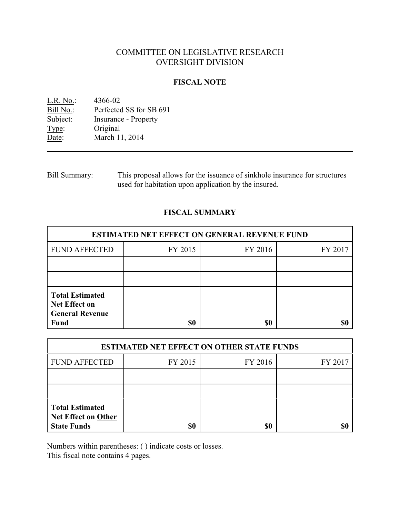# COMMITTEE ON LEGISLATIVE RESEARCH OVERSIGHT DIVISION

## **FISCAL NOTE**

<u>L.R. No.</u>: 4366-02<br>Bill No.: Perfected Bill No.: Perfected SS for SB 691<br>Subject: Insurance - Property Insurance - Property Type: Original Date: March 11, 2014

Bill Summary: This proposal allows for the issuance of sinkhole insurance for structures used for habitation upon application by the insured.

## **FISCAL SUMMARY**

| <b>ESTIMATED NET EFFECT ON GENERAL REVENUE FUND</b>                                     |         |         |         |  |
|-----------------------------------------------------------------------------------------|---------|---------|---------|--|
| <b>FUND AFFECTED</b>                                                                    | FY 2015 | FY 2016 | FY 2017 |  |
|                                                                                         |         |         |         |  |
|                                                                                         |         |         |         |  |
| <b>Total Estimated</b><br><b>Net Effect on</b><br><b>General Revenue</b><br><b>Fund</b> | \$0     | \$0     |         |  |

| <b>ESTIMATED NET EFFECT ON OTHER STATE FUNDS</b>                           |         |         |         |  |
|----------------------------------------------------------------------------|---------|---------|---------|--|
| <b>FUND AFFECTED</b>                                                       | FY 2015 | FY 2016 | FY 2017 |  |
|                                                                            |         |         |         |  |
|                                                                            |         |         |         |  |
| <b>Total Estimated</b><br><b>Net Effect on Other</b><br><b>State Funds</b> | \$0     | \$0     |         |  |

Numbers within parentheses: ( ) indicate costs or losses.

This fiscal note contains 4 pages.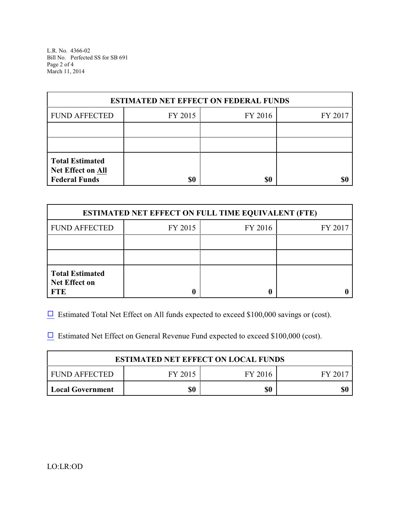L.R. No. 4366-02 Bill No. Perfected SS for SB 691 Page 2 of 4 March 11, 2014

| <b>ESTIMATED NET EFFECT ON FEDERAL FUNDS</b>                        |         |         |         |  |
|---------------------------------------------------------------------|---------|---------|---------|--|
| <b>FUND AFFECTED</b>                                                | FY 2015 | FY 2016 | FY 2017 |  |
|                                                                     |         |         |         |  |
|                                                                     |         |         |         |  |
| <b>Total Estimated</b><br>Net Effect on All<br><b>Federal Funds</b> | \$0     | \$0     |         |  |

| <b>ESTIMATED NET EFFECT ON FULL TIME EQUIVALENT (FTE)</b>    |         |         |         |  |
|--------------------------------------------------------------|---------|---------|---------|--|
| <b>FUND AFFECTED</b>                                         | FY 2015 | FY 2016 | FY 2017 |  |
|                                                              |         |         |         |  |
|                                                              |         |         |         |  |
| <b>Total Estimated</b><br><b>Net Effect on</b><br><b>FTE</b> |         |         |         |  |

 $\Box$  Estimated Total Net Effect on All funds expected to exceed \$100,000 savings or (cost).

 $\Box$  Estimated Net Effect on General Revenue Fund expected to exceed \$100,000 (cost).

| <b>ESTIMATED NET EFFECT ON LOCAL FUNDS</b> |         |         |       |
|--------------------------------------------|---------|---------|-------|
| FUND AFFECTED                              | FY 2015 | FY 2016 | FV 20 |
| <b>Local Government</b>                    | \$0     | \$0     |       |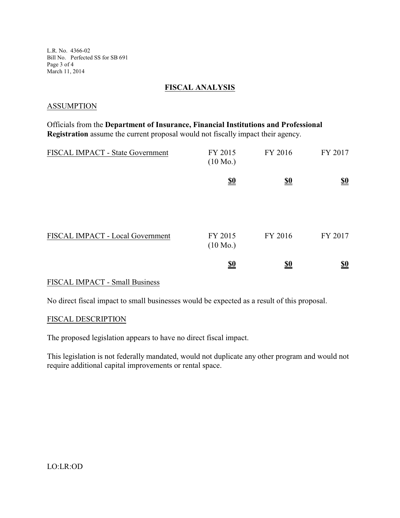L.R. No. 4366-02 Bill No. Perfected SS for SB 691 Page 3 of 4 March 11, 2014

#### **FISCAL ANALYSIS**

#### **ASSUMPTION**

Officials from the **Department of Insurance, Financial Institutions and Professional Registration** assume the current proposal would not fiscally impact their agency.

| FISCAL IMPACT - State Government | FY 2015<br>$(10 \text{ Mo.})$ | FY 2016                       | FY 2017                       |
|----------------------------------|-------------------------------|-------------------------------|-------------------------------|
|                                  | $\underline{\underline{\$0}}$ | $\underline{\underline{\$0}}$ | $\underline{\underline{\$0}}$ |
|                                  |                               |                               |                               |
| FISCAL IMPACT - Local Government | FY 2015<br>$(10 \text{ Mo.})$ | FY 2016                       | FY 2017                       |
|                                  | $\underline{\underline{\$0}}$ | <u>\$0</u>                    | <u>so</u>                     |

#### FISCAL IMPACT - Small Business

No direct fiscal impact to small businesses would be expected as a result of this proposal.

#### FISCAL DESCRIPTION

The proposed legislation appears to have no direct fiscal impact.

This legislation is not federally mandated, would not duplicate any other program and would not require additional capital improvements or rental space.